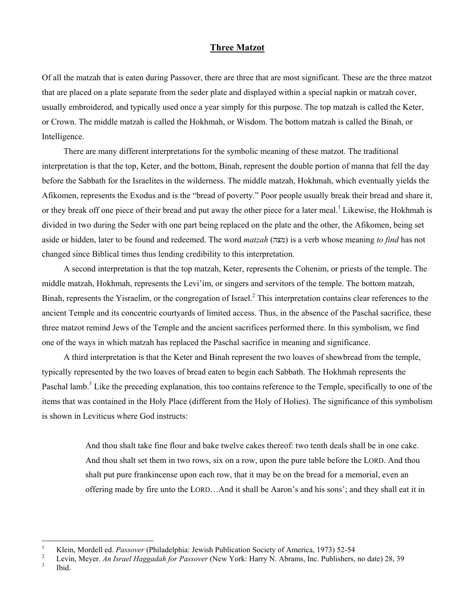## **Three Matzot**

Of all the matzah that is eaten during Passover, there are three that are most significant. These are the three matzot that are placed on a plate separate from the seder plate and displayed within a special napkin or matzah cover, usually embroidered, and typically used once a year simply for this purpose. The top matzah is called the Keter, or Crown. The middle matzah is called the Hokhmah, or Wisdom. The bottom matzah is called the Binah, or Intelligence.

There are many different interpretations for the symbolic meaning of these matzot. The traditional interpretation is that the top, Keter, and the bottom, Binah, represent the double portion of manna that fell the day before the Sabbath for the Israelites in the wilderness. The middle matzah, Hokhmah, which eventually yields the Afikomen, represents the Exodus and is the "bread of poverty." Poor people usually break their bread and share it, or they break off one piece of their bread and put away the other piece for a later meal.<sup>[1](#page-0-0)</sup> Likewise, the Hokhmah is divided in two during the Seder with one part being replaced on the plate and the other, the Afikomen, being set aside or hidden, later to be found and redeemed. The word *matzah* (מצה (is a verb whose meaning *to find* has not changed since Biblical times thus lending credibility to this interpretation.

A second interpretation is that the top matzah, Keter, represents the Cohenim, or priests of the temple. The middle matzah, Hokhmah, represents the Levi'im, or singers and servitors of the temple. The bottom matzah, Binah, represents the Yisraelim, or the congregation of Israel.<sup>[2](#page-0-1)</sup> This interpretation contains clear references to the ancient Temple and its concentric courtyards of limited access. Thus, in the absence of the Paschal sacrifice, these three matzot remind Jews of the Temple and the ancient sacrifices performed there. In this symbolism, we find one of the ways in which matzah has replaced the Paschal sacrifice in meaning and significance.

A third interpretation is that the Keter and Binah represent the two loaves of shewbread from the temple, typically represented by the two loaves of bread eaten to begin each Sabbath. The Hokhmah represents the Paschal lamb.<sup>[3](#page-0-2)</sup> Like the preceding explanation, this too contains reference to the Temple, specifically to one of the items that was contained in the Holy Place (different from the Holy of Holies). The significance of this symbolism is shown in Leviticus where God instructs:

> And thou shalt take fine flour and bake twelve cakes thereof: two tenth deals shall be in one cake. And thou shalt set them in two rows, six on a row, upon the pure table before the LORD. And thou shalt put pure frankincense upon each row, that it may be on the bread for a memorial, even an offering made by fire unto the LORD…And it shall be Aaron's and his sons'; and they shall eat it in

<span id="page-0-0"></span> $\frac{1}{1}$ Klein, Mordell ed. *Passover* (Philadelphia: Jewish Publication Society of America, 1973) 52-54<br><sup>2</sup> Lovin, Moyer, An Israel Haggadah for Bassover (Now York: Herry N. Ahrome, Ine, Publishers

<span id="page-0-2"></span><span id="page-0-1"></span><sup>&</sup>lt;sup>2</sup> Levin, Meyer. *An Israel Haggadah for Passover* (New York: Harry N. Abrams, Inc. Publishers, no date) 28, 39 Ibid.